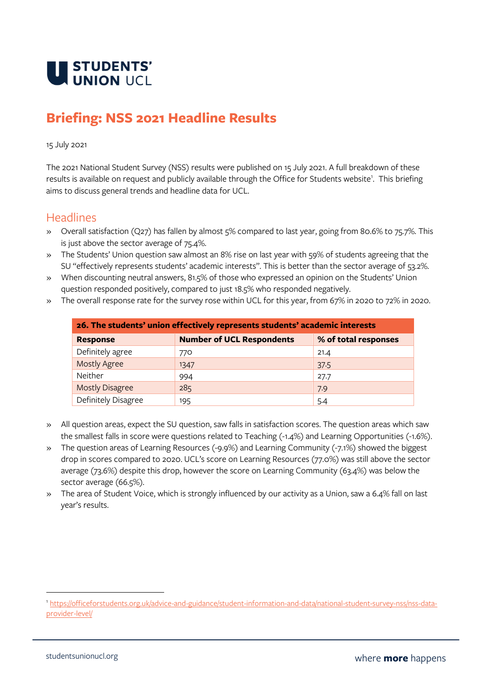

## **Briefing: NSS 2021 Headline Results**

## 15 July 2021

The 2021 National Student Survey (NSS) results were published on 15 July 2021. A full breakdown of these results is available on request and publicly available through the Office for Students website<sup>1</sup>. This briefing aims to discuss general trends and headline data for UCL.

## **Headlines**

- » Overall satisfaction (Q27) has fallen by almost 5% compared to last year, going from 80.6% to 75.7%. This is just above the sector average of 75.4%.
- » The Students' Union question saw almost an 8% rise on last year with 59% of students agreeing that the SU "effectively represents students' academic interests". This is better than the sector average of 53.2%.
- » When discounting neutral answers, 81.5% of those who expressed an opinion on the Students' Union question responded positively, compared to just 18.5% who responded negatively.
- » The overall response rate for the survey rose within UCL for this year, from 67% in 2020 to 72% in 2020.

| 26. The students' union effectively represents students' academic interests |                                  |                      |  |  |
|-----------------------------------------------------------------------------|----------------------------------|----------------------|--|--|
| <b>Response</b>                                                             | <b>Number of UCL Respondents</b> | % of total responses |  |  |
| Definitely agree                                                            | 770                              | 21.4                 |  |  |
| <b>Mostly Agree</b>                                                         | 1347                             | 37.5                 |  |  |
| Neither                                                                     | 994                              | 27.7                 |  |  |
| <b>Mostly Disagree</b>                                                      | 285                              | 7.9                  |  |  |
| Definitely Disagree                                                         | 195                              | 5.4                  |  |  |

- » All question areas, expect the SU question, saw falls in satisfaction scores. The question areas which saw the smallest falls in score were questions related to Teaching (-1.4%) and Learning Opportunities (-1.6%).
- » The question areas of Learning Resources (-9.9%) and Learning Community (-7.1%) showed the biggest drop in scores compared to 2020. UCL's score on Learning Resources (77.0%) was still above the sector average (73.6%) despite this drop, however the score on Learning Community (63.4%) was below the sector average (66.5%).
- » The area of Student Voice, which is strongly influenced by our activity as a Union, saw a 6.4% fall on last year's results.

<sup>1</sup> [https://officeforstudents.org.uk/advice-and-guidance/student-information-and-data/national-student-survey-nss/nss-data](https://officeforstudents.org.uk/advice-and-guidance/student-information-and-data/national-student-survey-nss/nss-data-provider-level/)[provider-level/](https://officeforstudents.org.uk/advice-and-guidance/student-information-and-data/national-student-survey-nss/nss-data-provider-level/)